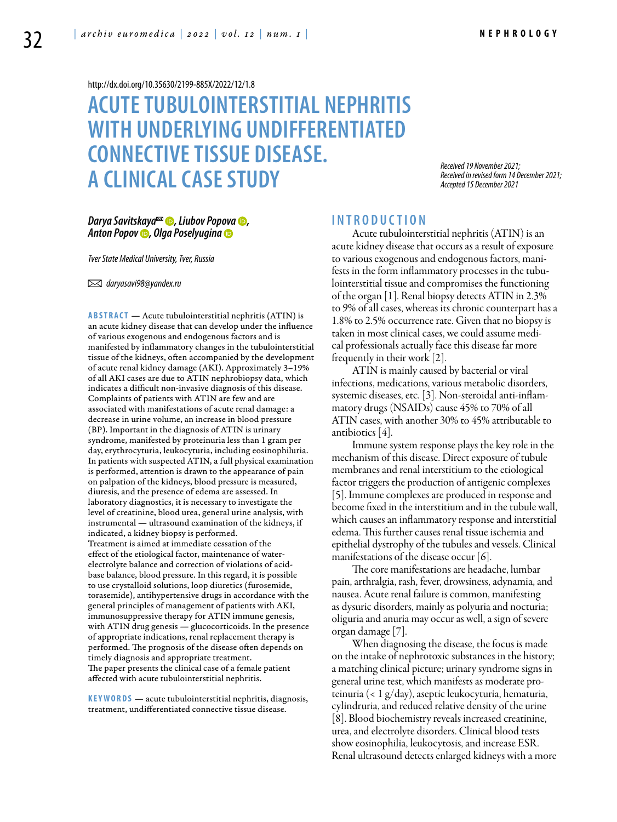<http://dx.doi.org/10.35630/2199-885X/2022/12/1.8>

# **ACUTETUBULOINTERSTITIAL NEPHRITIS WITH UNDERLYING UNDIFFERENTIATED CONNECTIVE TISSUE DISEASE. A CLINICAL CASESTUDY**

*Received 19 November 2021; Received in revised form 14 December 2021; Accepted 15 December 2021*

### *Darya [Savitskaya](https://orcid.org/0000-0003-0986-7666)*<sup>∞</sup> **⊙**, [Liubov Popova](https://orcid.org/0000-0003-4400-7178) **⊙**, *[Anton Popov](https://orcid.org/0000-0002-6203-0657) , [Olga Poselyugina](https://orcid.org/0000-0001-5775-9868)*

*Tver State Medical University, Tver, Russia*

 *daryasavi98@yandex.ru*

**ABSTRACT** — Acute tubulointerstitial nephritis (ATIN) is an acute kidney disease that can develop under the influence of various exogenous and endogenous factors and is manifested by inflammatory changes in the tubulointerstitial tissue of the kidneys, often accompanied by the development of acute renal kidney damage (AKI). Approximately 3–19% of all AKI cases are due to ATIN nephrobiopsy data, which indicates a difficult non-invasive diagnosis of this disease. Complaints of patients with ATIN are few and are associated with manifestations of acute renal damage: a decrease in urine volume, an increase in blood pressure (BP). Important in the diagnosis of ATIN is urinary syndrome, manifested by proteinuria less than 1 gram per day, erythrocyturia, leukocyturia, including eosinophiluria. In patients with suspected ATIN, a full physical examination is performed, attention is drawn to the appearance of pain on palpation of the kidneys, blood pressure is measured, diuresis, and the presence of edema are assessed. In laboratory diagnostics, it is necessary to investigate the level of creatinine, blood urea, general urine analysis, with instrumental — ultrasound examination of the kidneys, if indicated, a kidney biopsy is performed. Treatment is aimed at immediate cessation of the effect of the etiological factor, maintenance of waterelectrolyte balance and correction of violations of acidbase balance, blood pressure. In this regard, it is possible to use crystalloid solutions, loop diuretics (furosemide, torasemide), antihypertensive drugs in accordance with the general principles of management of patients with AKI, immunosuppressive therapy for ATIN immune genesis, with ATIN drug genesis — glucocorticoids. In the presence of appropriate indications, renal replacement therapy is performed. The prognosis of the disease often depends on timely diagnosis and appropriate treatment. The paper presents the clinical case of a female patient affected with acute tubulointerstitial nephritis.

KEYWORDS — acute tubulointerstitial nephritis, diagnosis, treatment, undifferentiated connective tissue disease.

# **I n t r o d u ct i o n**

Acute tubulointerstitial nephritis (ATIN) is an acute kidney disease that occurs as a result of exposure to various exogenous and endogenous factors, manifests in the form inflammatory processes in the tubulointerstitial tissue and compromises the functioning of the organ [1]. Renal biopsy detects ATIN in 2.3% to 9% of all cases, whereas its chronic counterpart has a 1.8% to 2.5% occurrence rate. Given that no biopsy is taken in most clinical cases, we could assume medical professionals actually face this disease far more frequently in their work [2].

ATIN is mainly caused by bacterial or viral infections, medications, various metabolic disorders, systemic diseases, etc. [3]. Non-steroidal anti-inflammatory drugs (NSAIDs) cause 45% to 70% of all ATIN cases, with another 30% to 45% attributable to antibiotics [4].

Immune system response plays the key role in the mechanism of this disease. Direct exposure of tubule membranes and renal interstitium to the etiological factor triggers the production of antigenic complexes [5]. Immune complexes are produced in response and become fixed in the interstitium and in the tubule wall, which causes an inflammatory response and interstitial edema. This further causes renal tissue ischemia and epithelial dystrophy of the tubules and vessels. Clinical manifestations of the disease occur [6].

The core manifestations are headache, lumbar pain, arthralgia, rash, fever, drowsiness, adynamia, and nausea. Acute renal failure is common, manifesting as dysuric disorders, mainly as polyuria and nocturia; oliguria and anuria may occur as well, a sign of severe organ damage [7].

When diagnosing the disease, the focus is made on the intake of nephrotoxic substances in the history; a matching clinical picture; urinary syndrome signs in general urine test, which manifests as moderate proteinuria (< 1 g/day), aseptic leukocyturia, hematuria, cylindruria, and reduced relative density of the urine [8]. Blood biochemistry reveals increased creatinine, urea, and electrolyte disorders. Clinical blood tests show eosinophilia, leukocytosis, and increase ESR. Renal ultrasound detects enlarged kidneys with a more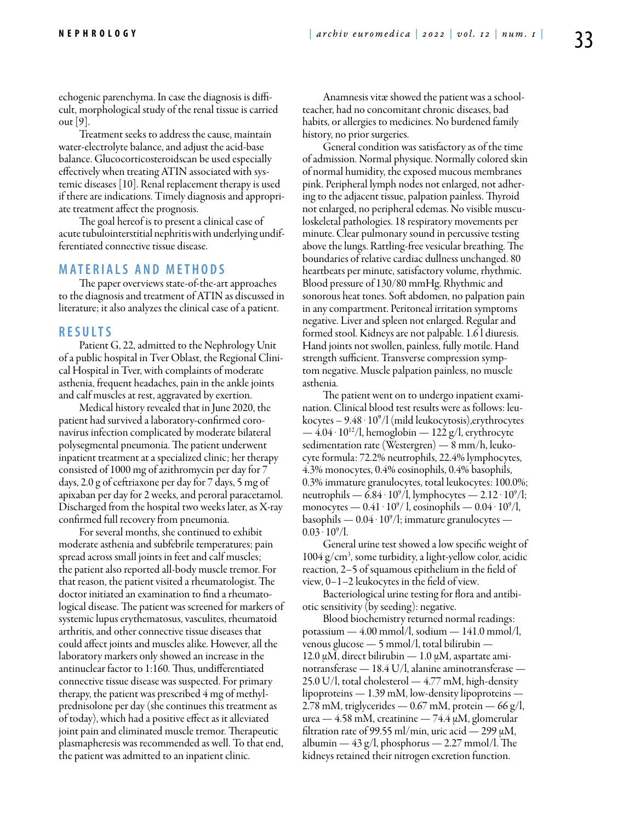echogenic parenchyma. In case the diagnosis is difficult, morphological study of the renal tissue is carried out [9].

Treatment seeks to address the cause, maintain water-electrolyte balance, and adjust the acid-base balance. Glucocorticosteroidscan be used especially effectively when treating ATIN associated with systemic diseases [10]. Renal replacement therapy is used if there are indications. Timely diagnosis and appropriate treatment affect the prognosis.

The goal hereof is to present a clinical case of acute tubulointerstitial nephritis with underlying undifferentiated connective tissue disease.

## **MATERIALS AND METHODS**

The paper overviews state-of-the-art approaches to the diagnosis and treatment of ATIN as discussed in literature; it also analyzes the clinical case of a patient.

#### **R e s u l t s**

Patient G, 22, admitted to the Nephrology Unit of a public hospital in Tver Oblast, the Regional Clinical Hospital in Tver, with complaints of moderate asthenia, frequent headaches, pain in the ankle joints and calf muscles at rest, aggravated by exertion.

Medical history revealed that in June 2020, the patient had survived a laboratory-confirmed coronavirus infection complicated by moderate bilateral polysegmental pneumonia. The patient underwent inpatient treatment at a specialized clinic; her therapy consisted of 1000 mg of azithromycin per day for 7 days, 2.0 g of ceftriaxone per day for 7 days, 5 mg of apixaban per day for 2 weeks, and peroral paracetamol. Discharged from the hospital two weeks later, as X-ray confirmed full recovery from pneumonia.

For several months, she continued to exhibit moderate asthenia and subfebrile temperatures; pain spread across small joints in feet and calf muscles; the patient also reported all-body muscle tremor. For that reason, the patient visited a rheumatologist. The doctor initiated an examination to find a rheumatological disease. The patient was screened for markers of systemic lupus erythematosus, vasculites, rheumatoid arthritis, and other connective tissue diseases that could affect joints and muscles alike. However, all the laboratory markers only showed an increase in the antinuclear factor to 1:160. Thus, undifferentiated connective tissue disease was suspected. For primary therapy, the patient was prescribed 4 mg of methylprednisolone per day (she continues this treatment as of today), which had a positive effect as it alleviated joint pain and eliminated muscle tremor. Therapeutic plasmapheresis was recommended as well. To that end, the patient was admitted to an inpatient clinic.

Anamnesis vitæ showed the patient was a schoolteacher, had no concomitant chronic diseases, bad habits, or allergies to medicines. No burdened family history, no prior surgeries.

General condition was satisfactory as of the time of admission. Normal physique. Normally colored skin of normal humidity, the exposed mucous membranes pink. Peripheral lymph nodes not enlarged, not adhering to the adjacent tissue, palpation painless. Thyroid not enlarged, no peripheral edemas. No visible musculoskeletal pathologies. 18 respiratory movements per minute. Clear pulmonary sound in percussive testing above the lungs. Rattling-free vesicular breathing. The boundaries of relative cardiac dullness unchanged. 80 heartbeats per minute, satisfactory volume, rhythmic. Blood pressure of 130/80 mmHg. Rhythmic and sonorous heat tones. Soft abdomen, no palpation pain in any compartment. Peritoneal irritation symptoms negative. Liver and spleen not enlarged. Regular and formed stool. Kidneys are not palpable. 1.6 l diuresis. Hand joints not swollen, painless, fully motile. Hand strength sufficient. Transverse compression symptom negative. Muscle palpation painless, no muscle asthenia.

The patient went on to undergo inpatient examination. Clinical blood test results were as follows: leukocytes –  $9.48 \cdot 10^9$ /l (mild leukocytosis), erythrocytes  $-4.04 \cdot 10^{12}$ /l, hemoglobin  $-122$  g/l, erythrocyte sedimentation rate (Westergren) — 8 mm/h, leukocyte formula: 72.2% neutrophils, 22.4% lymphocytes, 4.3% monocytes, 0.4% eosinophils, 0.4% basophils, 0.3% immature granulocytes, total leukocytes: 100.0%; neutrophils —  $6.84 \cdot 10^9/1$ , lymphocytes —  $2.12 \cdot 10^9/1$ ; monocytes —  $0.41 \cdot 10^9/$ l, eosinophils —  $0.04 \cdot 10^9/$ l, basophils —  $0.04 \cdot 10^9$ /l; immature granulocytes —  $0.03 \cdot 10^9$ /l.

General urine test showed a low specific weight of 1004 g/cm3 , some turbidity, a light-yellow color, acidic reaction, 2–5 of squamous epithelium in the field of view, 0–1–2 leukocytes in the field of view.

Bacteriological urine testing for flora and antibiotic sensitivity (by seeding): negative.

Blood biochemistry returned normal readings: potassium —  $4.00 \text{ mmol/l}$ , sodium —  $141.0 \text{ mmol/l}$ , venous glucose — 5 mmol/l, total bilirubin — 12.0 μM, direct bilirubin — 1.0 μM, aspartate aminotransferase — 18.4 U/l, alanine aminotransferase —  $25.0$  U/l, total cholesterol  $-4.77$  mM, high-density lipoproteins — 1.39 mM, low-density lipoproteins — 2.78 mM, triglycerides —  $0.67$  mM, protein — 66 g/l, urea — 4.58 mM, creatinine — 74.4  $\mu$ M, glomerular filtration rate of 99.55 ml/min, uric acid — 299  $\mu$ M, albumin  $-43$  g/l, phosphorus  $-2.27$  mmol/l. The kidneys retained their nitrogen excretion function.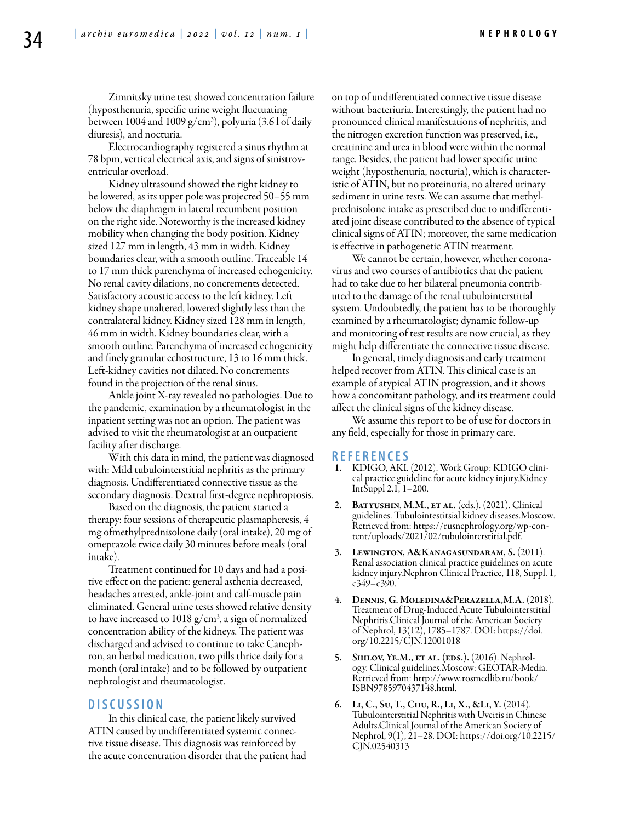Zimnitsky urine test showed concentration failure (hyposthenuria, specific urine weight fluctuating between 1004 and 1009  $g/cm^3$ ), polyuria (3.61 of daily diuresis), and nocturia.

Electrocardiography registered a sinus rhythm at 78 bpm, vertical electrical axis, and signs of sinistroventricular overload.

Kidney ultrasound showed the right kidney to be lowered, as its upper pole was projected 50–55 mm below the diaphragm in lateral recumbent position on the right side. Noteworthy is the increased kidney mobility when changing the body position. Kidney sized 127 mm in length, 43 mm in width. Kidney boundaries clear, with a smooth outline. Traceable 14 to 17 mm thick parenchyma of increased echogenicity. No renal cavity dilations, no concrements detected. Satisfactory acoustic access to the left kidney. Left kidney shape unaltered, lowered slightly less than the contralateral kidney. Kidney sized 128 mm in length, 46 mm in width. Kidney boundaries clear, with a smooth outline. Parenchyma of increased echogenicity and finely granular echostructure, 13 to 16 mm thick. Left-kidney cavities not dilated. No concrements found in the projection of the renal sinus.

Ankle joint X-ray revealed no pathologies. Due to the pandemic, examination by a rheumatologist in the inpatient setting was not an option. The patient was advised to visit the rheumatologist at an outpatient facility after discharge.

With this data in mind, the patient was diagnosed with: Mild tubulointerstitial nephritis as the primary diagnosis. Undifferentiated connective tissue as the secondary diagnosis. Dextral first-degree nephroptosis.

Based on the diagnosis, the patient started a therapy: four sessions of therapeutic plasmapheresis, 4 mg ofmethylprednisolone daily (oral intake), 20 mg of omeprazole twice daily 30 minutes before meals (oral intake).

Treatment continued for 10 days and had a positive effect on the patient: general asthenia decreased, headaches arrested, ankle-joint and calf-muscle pain eliminated. General urine tests showed relative density to have increased to 1018 g/cm<sup>3</sup>, a sign of normalized concentration ability of the kidneys. The patient was discharged and advised to continue to take Canephron, an herbal medication, two pills thrice daily for a month (oral intake) and to be followed by outpatient nephrologist and rheumatologist.

## **D i sc u s s i o n**

In this clinical case, the patient likely survived ATIN caused by undifferentiated systemic connective tissue disease. This diagnosis was reinforced by the acute concentration disorder that the patient had on top of undifferentiated connective tissue disease without bacteriuria. Interestingly, the patient had no pronounced clinical manifestations of nephritis, and the nitrogen excretion function was preserved, i.e., creatinine and urea in blood were within the normal range. Besides, the patient had lower specific urine weight (hyposthenuria, nocturia), which is characteristic of ATIN, but no proteinuria, no altered urinary sediment in urine tests. We can assume that methylprednisolone intake as prescribed due to undifferentiated joint disease contributed to the absence of typical clinical signs of ATIN; moreover, the same medication is effective in pathogenetic ATIN treatment.

We cannot be certain, however, whether coronavirus and two courses of antibiotics that the patient had to take due to her bilateral pneumonia contributed to the damage of the renal tubulointerstitial system. Undoubtedly, the patient has to be thoroughly examined by a rheumatologist; dynamic follow-up and monitoring of test results are now crucial, as they might help differentiate the connective tissue disease.

In general, timely diagnosis and early treatment helped recover from ATIN. This clinical case is an example of atypical ATIN progression, and it shows how a concomitant pathology, and its treatment could affect the clinical signs of the kidney disease.

We assume this report to be of use for doctors in any field, especially for those in primary care.

#### **R e f e r e n ce s**

- 1. KDIGO, AKI. (2012). Work Group: KDIGO clinical practice guideline for acute kidney injury.Kidney IntSuppl 2.1, 1–200.
- 2. BATYUSHIN, M.M., ET AL. (eds.). (2021). Clinical guidelines. Tubulointestitsial kidney diseases.Moscow. Retrieved from: https://rusnephrology.org/wp-content/uploads/2021/02/tubulointerstitial.pdf.
- Lewington, A&Kanagasundaram, S. (2011). Renal association clinical practice guidelines on acute kidney injury.Nephron Clinical Practice, 118, Suppl. 1, c349–c390.
- DENNIS, G. MOLEDINA&PERAZELLA, M.A. (2018). Treatment of Drug-Induced Acute Tubulointerstitial Nephritis.Clinical Journal of the American Society of Nephrol, 13(12), 1785–1787. DOI: https://doi. org/10.2215/CJN.12001018
- 5. SHILOV, YE.M., ET AL. (EDS.). (2016). Nephrol-<br>ogy. Clinical guidelines.Moscow: GEOTAR-Media. Retrieved from: http://www.rosmedlib.ru/book/ ISBN9785970437148.html.
- 6. Li, C., Su, T., Chu, R., Li, X., &Li, Y. (2014). Tubulointerstitial Nephritis with Uveitis in Chinese Adults.Clinical Journal of the American Society of Nephrol, 9(1), 21–28. DOI: https://doi.org/10.2215/ CJN.02540313